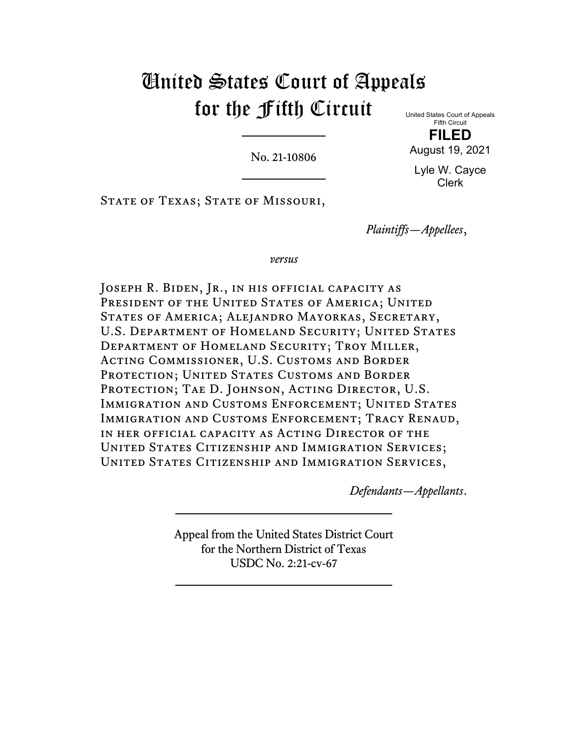# United States Court of Appeals for the Fifth Circuit

No. 21-10806

United States Court of Appeals Fifth Circuit

**FILED** August 19, 2021

Lyle W. Cayce Clerk

STATE OF TEXAS; STATE OF MISSOURI,

*Plaintiffs—Appellees*,

*versus*

JOSEPH R. BIDEN, JR., IN HIS OFFICIAL CAPACITY AS PRESIDENT OF THE UNITED STATES OF AMERICA; UNITED States of America; Alejandro Mayorkas, Secretary, U.S. DEPARTMENT OF HOMELAND SECURITY; UNITED STATES Department of Homeland Security; Troy Miller, Acting Commissioner, U.S. Customs and Border PROTECTION; UNITED STATES CUSTOMS AND BORDER PROTECTION; TAE D. JOHNSON, ACTING DIRECTOR, U.S. IMMIGRATION AND CUSTOMS ENFORCEMENT; UNITED STATES Immigration and Customs Enforcement; Tracy Renaud, in her official capacity as Acting Director of the United States Citizenship and Immigration Services; United States Citizenship and Immigration Services,

*Defendants—Appellants*.

Appeal from the United States District Court for the Northern District of Texas USDC No. 2:21-cv-67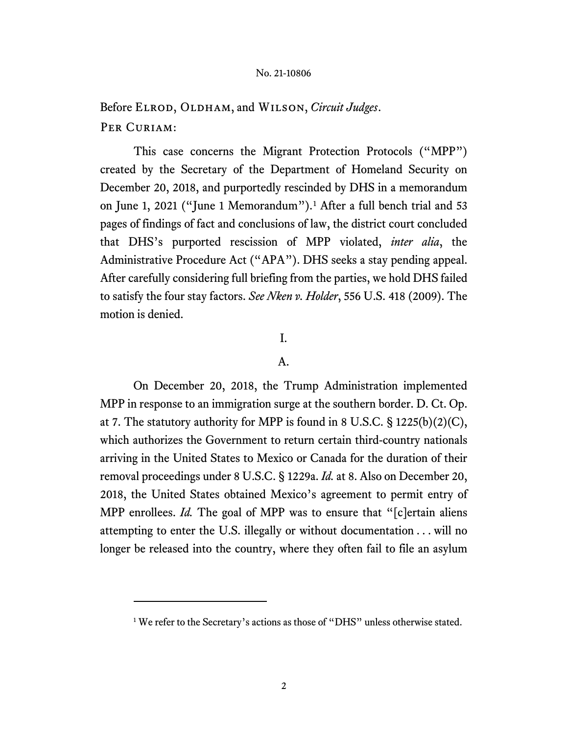Before ELROD, OLDHAM, and WILSON, *Circuit Judges*. PER CURIAM:

This case concerns the Migrant Protection Protocols ("MPP") created by the Secretary of the Department of Homeland Security on December 20, 2018, and purportedly rescinded by DHS in a memorandum on June 1, 2021 ("June 1 Memorandum").[1](#page-1-0) After a full bench trial and 53 pages of findings of fact and conclusions of law, the district court concluded that DHS's purported rescission of MPP violated, *inter alia*, the Administrative Procedure Act ("APA"). DHS seeks a stay pending appeal. After carefully considering full briefing from the parties, we hold DHS failed to satisfy the four stay factors. *See Nken v. Holder*, 556 U.S. 418 (2009). The motion is denied.

# I.

# A.

On December 20, 2018, the Trump Administration implemented MPP in response to an immigration surge at the southern border. D. Ct. Op. at 7. The statutory authority for MPP is found in 8 U.S.C. § 1225(b)(2)(C), which authorizes the Government to return certain third-country nationals arriving in the United States to Mexico or Canada for the duration of their removal proceedings under 8 U.S.C. § 1229a. *Id.* at 8. Also on December 20, 2018, the United States obtained Mexico's agreement to permit entry of MPP enrollees. *Id.* The goal of MPP was to ensure that "[c]ertain aliens attempting to enter the U.S. illegally or without documentation . . . will no longer be released into the country, where they often fail to file an asylum

<span id="page-1-0"></span><sup>&</sup>lt;sup>1</sup> We refer to the Secretary's actions as those of "DHS" unless otherwise stated.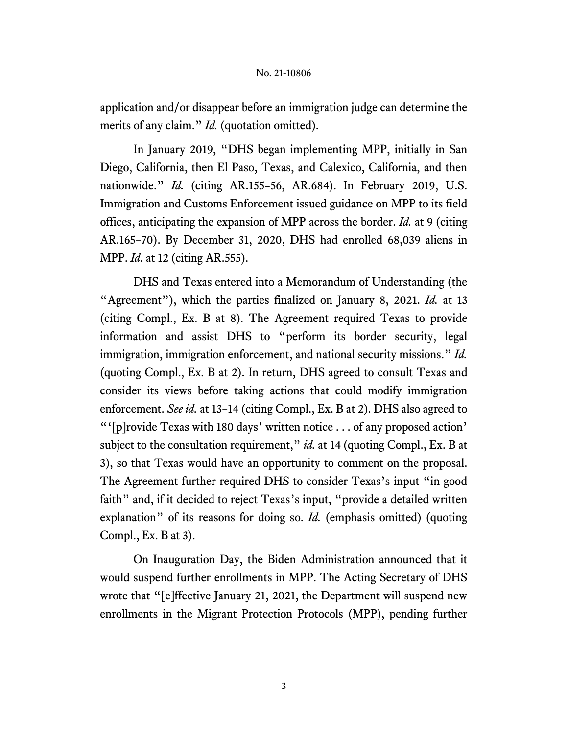application and/or disappear before an immigration judge can determine the merits of any claim." *Id.* (quotation omitted).

In January 2019, "DHS began implementing MPP, initially in San Diego, California, then El Paso, Texas, and Calexico, California, and then nationwide." *Id.* (citing AR.155–56, AR.684). In February 2019, U.S. Immigration and Customs Enforcement issued guidance on MPP to its field offices, anticipating the expansion of MPP across the border. *Id.* at 9 (citing AR.165–70). By December 31, 2020, DHS had enrolled 68,039 aliens in MPP. *Id.* at 12 (citing AR.555).

DHS and Texas entered into a Memorandum of Understanding (the "Agreement"), which the parties finalized on January 8, 2021. *Id.* at 13 (citing Compl., Ex. B at 8). The Agreement required Texas to provide information and assist DHS to "perform its border security, legal immigration, immigration enforcement, and national security missions." *Id.*  (quoting Compl., Ex. B at 2). In return, DHS agreed to consult Texas and consider its views before taking actions that could modify immigration enforcement. *See id.* at 13–14 (citing Compl., Ex. B at 2). DHS also agreed to "'[p]rovide Texas with 180 days' written notice . . . of any proposed action' subject to the consultation requirement," *id.* at 14 (quoting Compl., Ex. B at 3), so that Texas would have an opportunity to comment on the proposal. The Agreement further required DHS to consider Texas's input "in good faith" and, if it decided to reject Texas's input, "provide a detailed written explanation" of its reasons for doing so. *Id.* (emphasis omitted) (quoting Compl., Ex. B at 3).

On Inauguration Day, the Biden Administration announced that it would suspend further enrollments in MPP. The Acting Secretary of DHS wrote that "[e]ffective January 21, 2021, the Department will suspend new enrollments in the Migrant Protection Protocols (MPP), pending further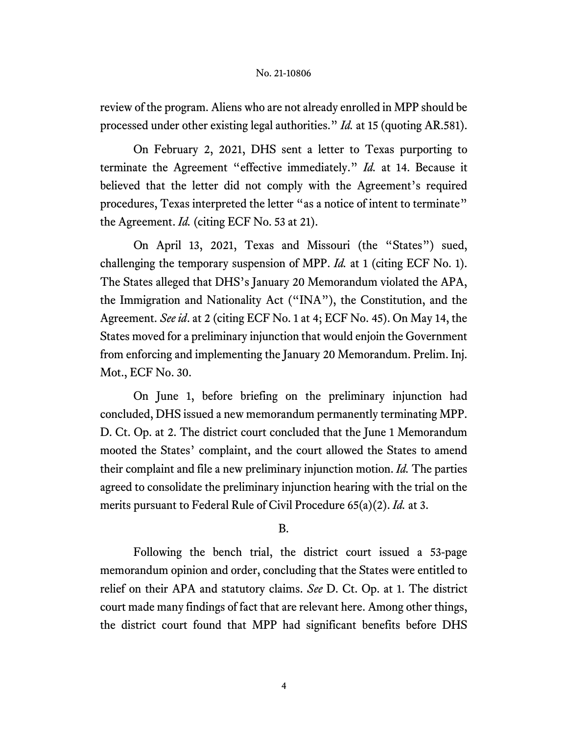review of the program. Aliens who are not already enrolled in MPP should be processed under other existing legal authorities." *Id.* at 15 (quoting AR.581).

On February 2, 2021, DHS sent a letter to Texas purporting to terminate the Agreement "effective immediately." *Id.* at 14. Because it believed that the letter did not comply with the Agreement's required procedures, Texas interpreted the letter "as a notice of intent to terminate" the Agreement. *Id.* (citing ECF No. 53 at 21).

On April 13, 2021, Texas and Missouri (the "States") sued, challenging the temporary suspension of MPP. *Id.* at 1 (citing ECF No. 1). The States alleged that DHS's January 20 Memorandum violated the APA, the Immigration and Nationality Act ("INA"), the Constitution, and the Agreement. *See id*. at 2 (citing ECF No. 1 at 4; ECF No. 45). On May 14, the States moved for a preliminary injunction that would enjoin the Government from enforcing and implementing the January 20 Memorandum. Prelim. Inj. Mot., ECF No. 30.

On June 1, before briefing on the preliminary injunction had concluded, DHS issued a new memorandum permanently terminating MPP. D. Ct. Op. at 2. The district court concluded that the June 1 Memorandum mooted the States' complaint, and the court allowed the States to amend their complaint and file a new preliminary injunction motion. *Id.* The parties agreed to consolidate the preliminary injunction hearing with the trial on the merits pursuant to Federal Rule of Civil Procedure 65(a)(2). *Id.* at 3.

# B.

Following the bench trial, the district court issued a 53-page memorandum opinion and order, concluding that the States were entitled to relief on their APA and statutory claims. *See* D. Ct. Op. at 1. The district court made many findings of fact that are relevant here. Among other things, the district court found that MPP had significant benefits before DHS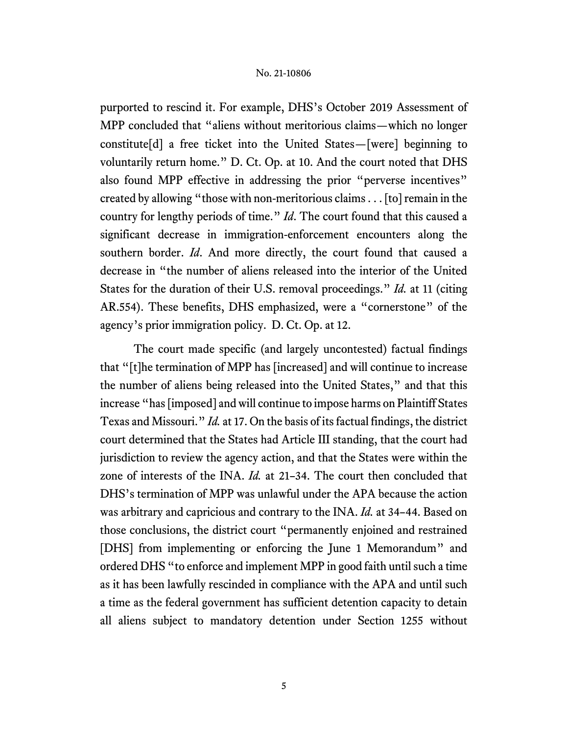purported to rescind it. For example, DHS's October 2019 Assessment of MPP concluded that "aliens without meritorious claims—which no longer constitute[d] a free ticket into the United States—[were] beginning to voluntarily return home." D. Ct. Op. at 10. And the court noted that DHS also found MPP effective in addressing the prior "perverse incentives" created by allowing "those with non-meritorious claims . . . [to] remain in the country for lengthy periods of time." *Id*. The court found that this caused a significant decrease in immigration-enforcement encounters along the southern border. *Id*. And more directly, the court found that caused a decrease in "the number of aliens released into the interior of the United States for the duration of their U.S. removal proceedings." *Id.* at 11 (citing AR.554). These benefits, DHS emphasized, were a "cornerstone" of the agency's prior immigration policy. D. Ct. Op. at 12.

The court made specific (and largely uncontested) factual findings that "[t]he termination of MPP has [increased] and will continue to increase the number of aliens being released into the United States," and that this increase "has [imposed] and will continue to impose harms on Plaintiff States Texas and Missouri." *Id.* at 17. On the basis of its factual findings, the district court determined that the States had Article III standing, that the court had jurisdiction to review the agency action, and that the States were within the zone of interests of the INA. *Id.* at 21–34. The court then concluded that DHS's termination of MPP was unlawful under the APA because the action was arbitrary and capricious and contrary to the INA. *Id.* at 34–44. Based on those conclusions, the district court "permanently enjoined and restrained [DHS] from implementing or enforcing the June 1 Memorandum" and ordered DHS "to enforce and implement MPP in good faith until such a time as it has been lawfully rescinded in compliance with the APA and until such a time as the federal government has sufficient detention capacity to detain all aliens subject to mandatory detention under Section 1255 without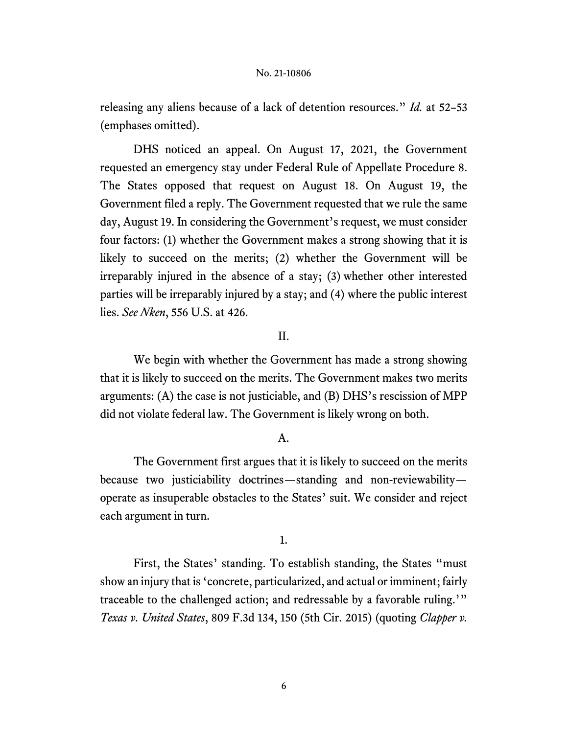releasing any aliens because of a lack of detention resources." *Id.* at 52–53 (emphases omitted).

DHS noticed an appeal. On August 17, 2021, the Government requested an emergency stay under Federal Rule of Appellate Procedure 8. The States opposed that request on August 18. On August 19, the Government filed a reply. The Government requested that we rule the same day, August 19. In considering the Government's request, we must consider four factors: (1) whether the Government makes a strong showing that it is likely to succeed on the merits; (2) whether the Government will be irreparably injured in the absence of a stay; (3) whether other interested parties will be irreparably injured by a stay; and (4) where the public interest lies. *See Nken*, 556 U.S. at 426.

# II.

We begin with whether the Government has made a strong showing that it is likely to succeed on the merits. The Government makes two merits arguments: (A) the case is not justiciable, and (B) DHS's rescission of MPP did not violate federal law. The Government is likely wrong on both.

# A.

The Government first argues that it is likely to succeed on the merits because two justiciability doctrines—standing and non-reviewability operate as insuperable obstacles to the States' suit. We consider and reject each argument in turn.

1.

First, the States' standing. To establish standing, the States "must show an injury that is 'concrete, particularized, and actual or imminent; fairly traceable to the challenged action; and redressable by a favorable ruling.'" *Texas v. United States*, 809 F.3d 134, 150 (5th Cir. 2015) (quoting *Clapper v.*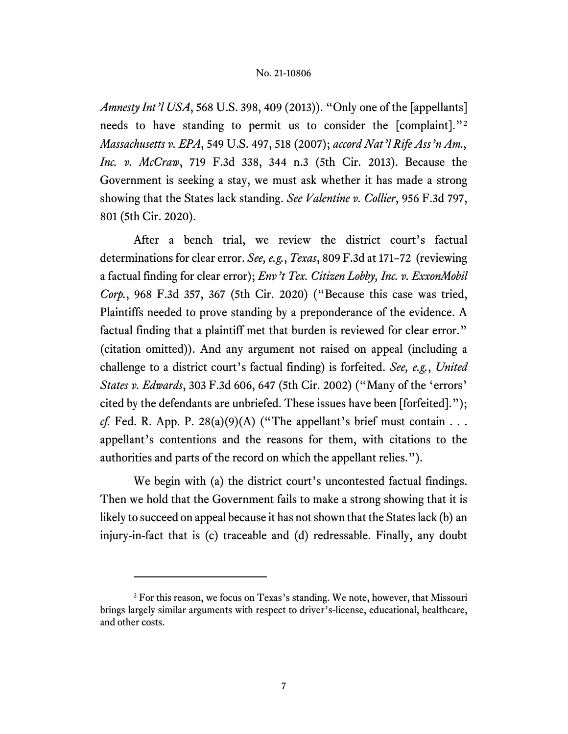*Amnesty Int'l USA*, 568 U.S. 398, 409 (2013)). "Only one of the [appellants] needs to have standing to permit us to consider the [complaint]."[2](#page-6-0) *Massachusetts v. EPA*, 549 U.S. 497, 518 (2007); *accord Nat'l Rife Ass'n Am., Inc. v. McCraw*, 719 F.3d 338, 344 n.3 (5th Cir. 2013). Because the Government is seeking a stay, we must ask whether it has made a strong showing that the States lack standing. *See Valentine v. Collier*, 956 F.3d 797, 801 (5th Cir. 2020).

After a bench trial, we review the district court's factual determinations for clear error. *See, e.g.*, *Texas*, 809 F.3d at 171–72 (reviewing a factual finding for clear error); *Env't Tex. Citizen Lobby, Inc. v. ExxonMobil Corp.*, 968 F.3d 357, 367 (5th Cir. 2020) ("Because this case was tried, Plaintiffs needed to prove standing by a preponderance of the evidence. A factual finding that a plaintiff met that burden is reviewed for clear error." (citation omitted)). And any argument not raised on appeal (including a challenge to a district court's factual finding) is forfeited. *See, e.g.*, *United States v. Edwards*, 303 F.3d 606, 647 (5th Cir. 2002) ("Many of the 'errors' cited by the defendants are unbriefed. These issues have been [forfeited]."); *cf.* Fed. R. App. P. 28(a)(9)(A) ("The appellant's brief must contain . . . appellant's contentions and the reasons for them, with citations to the authorities and parts of the record on which the appellant relies.").

We begin with (a) the district court's uncontested factual findings. Then we hold that the Government fails to make a strong showing that it is likely to succeed on appeal because it has not shown that the States lack (b) an injury-in-fact that is (c) traceable and (d) redressable. Finally, any doubt

<span id="page-6-0"></span><sup>&</sup>lt;sup>2</sup> For this reason, we focus on Texas's standing. We note, however, that Missouri brings largely similar arguments with respect to driver's-license, educational, healthcare, and other costs.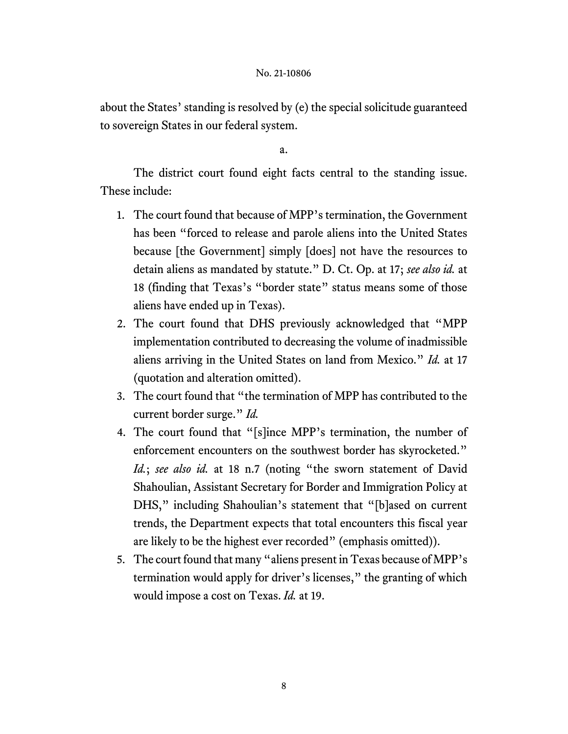about the States' standing is resolved by (e) the special solicitude guaranteed to sovereign States in our federal system.

a.

The district court found eight facts central to the standing issue. These include:

- 1. The court found that because of MPP's termination, the Government has been "forced to release and parole aliens into the United States because [the Government] simply [does] not have the resources to detain aliens as mandated by statute." D. Ct. Op. at 17; *see also id.* at 18 (finding that Texas's "border state" status means some of those aliens have ended up in Texas).
- 2. The court found that DHS previously acknowledged that "MPP implementation contributed to decreasing the volume of inadmissible aliens arriving in the United States on land from Mexico." *Id.* at 17 (quotation and alteration omitted).
- 3. The court found that "the termination of MPP has contributed to the current border surge." *Id.*
- 4. The court found that "[s]ince MPP's termination, the number of enforcement encounters on the southwest border has skyrocketed." *Id.*; *see also id.* at 18 n.7 (noting "the sworn statement of David Shahoulian, Assistant Secretary for Border and Immigration Policy at DHS," including Shahoulian's statement that "[b]ased on current trends, the Department expects that total encounters this fiscal year are likely to be the highest ever recorded" (emphasis omitted)).
- 5. The court found that many "aliens present in Texas because of MPP's termination would apply for driver's licenses," the granting of which would impose a cost on Texas. *Id.* at 19.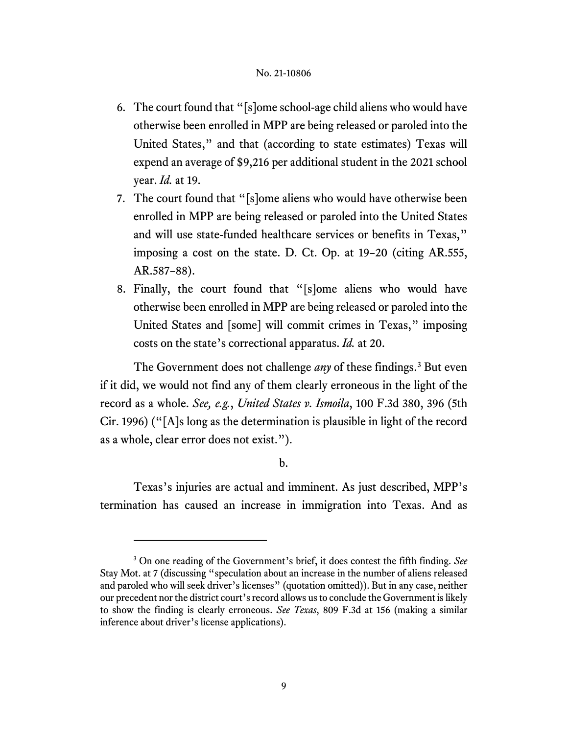- 6. The court found that "[s]ome school-age child aliens who would have otherwise been enrolled in MPP are being released or paroled into the United States," and that (according to state estimates) Texas will expend an average of \$9,216 per additional student in the 2021 school year. *Id.* at 19.
- 7. The court found that "[s]ome aliens who would have otherwise been enrolled in MPP are being released or paroled into the United States and will use state-funded healthcare services or benefits in Texas," imposing a cost on the state. D. Ct. Op. at 19–20 (citing AR.555, AR.587–88).
- 8. Finally, the court found that "[s]ome aliens who would have otherwise been enrolled in MPP are being released or paroled into the United States and [some] will commit crimes in Texas," imposing costs on the state's correctional apparatus. *Id.* at 20.

The Government does not challenge *any* of these findings.<sup>[3](#page-8-0)</sup> But even if it did, we would not find any of them clearly erroneous in the light of the record as a whole. *See, e.g.*, *United States v. Ismoila*, 100 F.3d 380, 396 (5th Cir. 1996) ("[A]s long as the determination is plausible in light of the record as a whole, clear error does not exist.").

b.

Texas's injuries are actual and imminent. As just described, MPP's termination has caused an increase in immigration into Texas. And as

<span id="page-8-0"></span><sup>3</sup> On one reading of the Government's brief, it does contest the fifth finding. *See*  Stay Mot. at 7 (discussing "speculation about an increase in the number of aliens released and paroled who will seek driver's licenses" (quotation omitted)). But in any case, neither our precedent nor the district court's record allows us to conclude the Government is likely to show the finding is clearly erroneous. *See Texas*, 809 F.3d at 156 (making a similar inference about driver's license applications).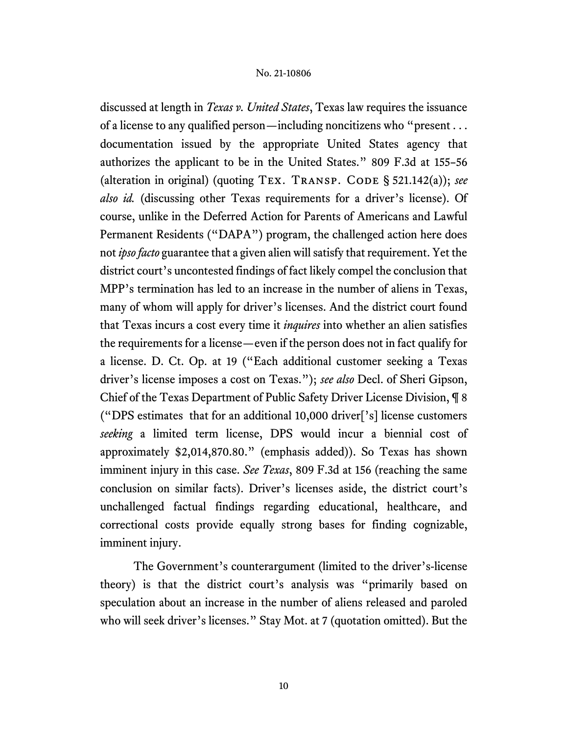discussed at length in *Texas v. United States*, Texas law requires the issuance of a license to any qualified person—including noncitizens who "present . . . documentation issued by the appropriate United States agency that authorizes the applicant to be in the United States." 809 F.3d at 155–56 (alteration in original) (quoting TEX. TRANSP. CODE § 521.142(a)); see *also id.* (discussing other Texas requirements for a driver's license). Of course, unlike in the Deferred Action for Parents of Americans and Lawful Permanent Residents ("DAPA") program, the challenged action here does not *ipso facto* guarantee that a given alien will satisfy that requirement. Yet the district court's uncontested findings of fact likely compel the conclusion that MPP's termination has led to an increase in the number of aliens in Texas, many of whom will apply for driver's licenses. And the district court found that Texas incurs a cost every time it *inquires* into whether an alien satisfies the requirements for a license—even if the person does not in fact qualify for a license. D. Ct. Op. at 19 ("Each additional customer seeking a Texas driver's license imposes a cost on Texas."); *see also* Decl. of Sheri Gipson, Chief of the Texas Department of Public Safety Driver License Division, ¶ 8 ("DPS estimates that for an additional 10,000 driver['s] license customers *seeking* a limited term license, DPS would incur a biennial cost of approximately \$2,014,870.80." (emphasis added)). So Texas has shown imminent injury in this case. *See Texas*, 809 F.3d at 156 (reaching the same conclusion on similar facts). Driver's licenses aside, the district court's unchallenged factual findings regarding educational, healthcare, and correctional costs provide equally strong bases for finding cognizable, imminent injury.

The Government's counterargument (limited to the driver's-license theory) is that the district court's analysis was "primarily based on speculation about an increase in the number of aliens released and paroled who will seek driver's licenses." Stay Mot. at 7 (quotation omitted). But the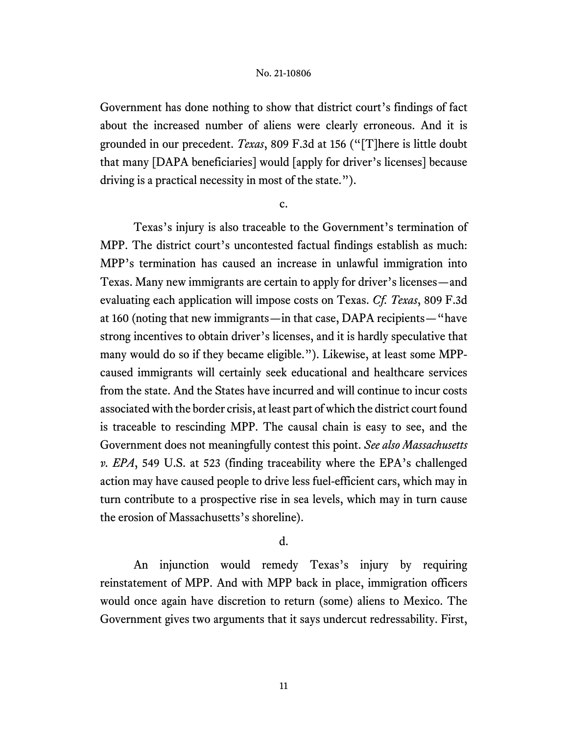Government has done nothing to show that district court's findings of fact about the increased number of aliens were clearly erroneous. And it is grounded in our precedent. *Texas*, 809 F.3d at 156 ("[T]here is little doubt that many [DAPA beneficiaries] would [apply for driver's licenses] because driving is a practical necessity in most of the state.").

c.

Texas's injury is also traceable to the Government's termination of MPP. The district court's uncontested factual findings establish as much: MPP's termination has caused an increase in unlawful immigration into Texas. Many new immigrants are certain to apply for driver's licenses—and evaluating each application will impose costs on Texas. *Cf. Texas*, 809 F.3d at 160 (noting that new immigrants—in that case, DAPA recipients—"have strong incentives to obtain driver's licenses, and it is hardly speculative that many would do so if they became eligible."). Likewise, at least some MPPcaused immigrants will certainly seek educational and healthcare services from the state. And the States have incurred and will continue to incur costs associated with the border crisis, at least part of which the district court found is traceable to rescinding MPP. The causal chain is easy to see, and the Government does not meaningfully contest this point. *See also Massachusetts v. EPA*, 549 U.S. at 523 (finding traceability where the EPA's challenged action may have caused people to drive less fuel-efficient cars, which may in turn contribute to a prospective rise in sea levels, which may in turn cause the erosion of Massachusetts's shoreline).

# d.

An injunction would remedy Texas's injury by requiring reinstatement of MPP. And with MPP back in place, immigration officers would once again have discretion to return (some) aliens to Mexico. The Government gives two arguments that it says undercut redressability. First,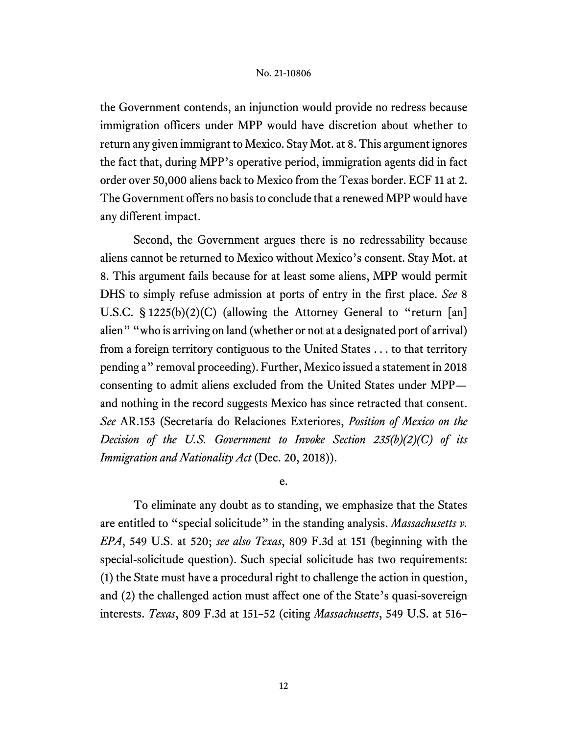the Government contends, an injunction would provide no redress because immigration officers under MPP would have discretion about whether to return any given immigrant to Mexico. Stay Mot. at 8. This argument ignores the fact that, during MPP's operative period, immigration agents did in fact order over 50,000 aliens back to Mexico from the Texas border. ECF 11 at 2. The Government offers no basis to conclude that a renewed MPP would have any different impact.

Second, the Government argues there is no redressability because aliens cannot be returned to Mexico without Mexico's consent. Stay Mot. at 8. This argument fails because for at least some aliens, MPP would permit DHS to simply refuse admission at ports of entry in the first place. *See* 8 U.S.C. § 1225(b)(2)(C) (allowing the Attorney General to "return [an] alien" "who is arriving on land (whether or not at a designated port of arrival) from a foreign territory contiguous to the United States . . . to that territory pending a" removal proceeding). Further, Mexico issued a statement in 2018 consenting to admit aliens excluded from the United States under MPP and nothing in the record suggests Mexico has since retracted that consent. *See* AR.153 (Secretaría do Relaciones Exteriores, *Position of Mexico on the Decision of the U.S. Government to Invoke Section 235(b)(2)(C) of its Immigration and Nationality Act* (Dec. 20, 2018)).

e.

To eliminate any doubt as to standing, we emphasize that the States are entitled to "special solicitude" in the standing analysis. *Massachusetts v. EPA*, 549 U.S. at 520; *see also Texas*, 809 F.3d at 151 (beginning with the special-solicitude question). Such special solicitude has two requirements: (1) the State must have a procedural right to challenge the action in question, and (2) the challenged action must affect one of the State's quasi-sovereign interests. *Texas*, 809 F.3d at 151–52 (citing *Massachusetts*, 549 U.S. at 516–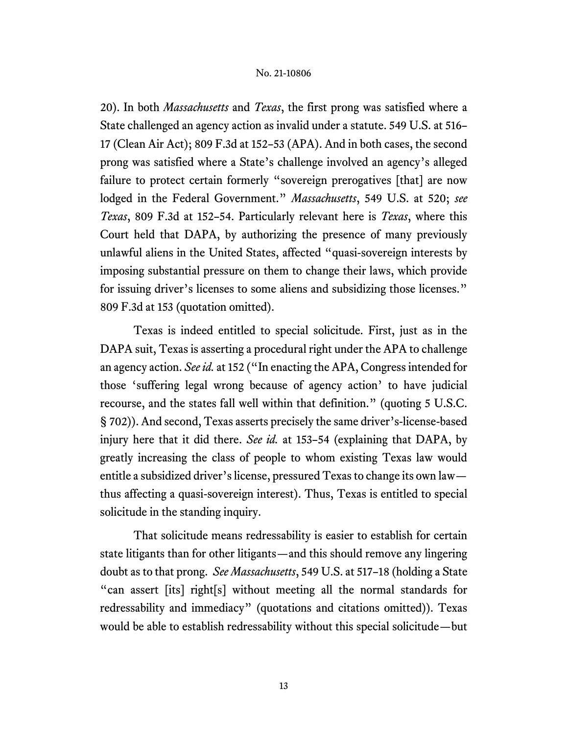20). In both *Massachusetts* and *Texas*, the first prong was satisfied where a State challenged an agency action as invalid under a statute. 549 U.S. at 516– 17 (Clean Air Act); 809 F.3d at 152–53 (APA). And in both cases, the second prong was satisfied where a State's challenge involved an agency's alleged failure to protect certain formerly "sovereign prerogatives [that] are now lodged in the Federal Government." *Massachusetts*, 549 U.S. at 520; *see Texas*, 809 F.3d at 152–54. Particularly relevant here is *Texas*, where this Court held that DAPA, by authorizing the presence of many previously unlawful aliens in the United States, affected "quasi-sovereign interests by imposing substantial pressure on them to change their laws, which provide for issuing driver's licenses to some aliens and subsidizing those licenses." 809 F.3d at 153 (quotation omitted).

Texas is indeed entitled to special solicitude. First, just as in the DAPA suit, Texas is asserting a procedural right under the APA to challenge an agency action. *See id.* at 152 ("In enacting the APA, Congress intended for those 'suffering legal wrong because of agency action' to have judicial recourse, and the states fall well within that definition." (quoting 5 U.S.C. § 702)). And second, Texas asserts precisely the same driver's-license-based injury here that it did there. *See id.* at 153–54 (explaining that DAPA, by greatly increasing the class of people to whom existing Texas law would entitle a subsidized driver's license, pressured Texas to change its own law thus affecting a quasi-sovereign interest). Thus, Texas is entitled to special solicitude in the standing inquiry.

That solicitude means redressability is easier to establish for certain state litigants than for other litigants—and this should remove any lingering doubt as to that prong. *See Massachusetts*, 549 U.S. at 517–18 (holding a State "can assert [its] right[s] without meeting all the normal standards for redressability and immediacy" (quotations and citations omitted)). Texas would be able to establish redressability without this special solicitude—but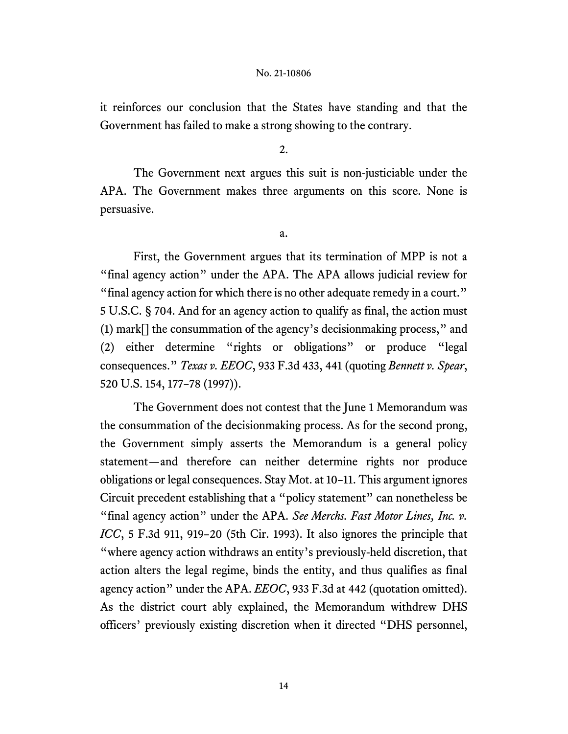it reinforces our conclusion that the States have standing and that the Government has failed to make a strong showing to the contrary.

2.

The Government next argues this suit is non-justiciable under the APA. The Government makes three arguments on this score. None is persuasive.

a.

First, the Government argues that its termination of MPP is not a "final agency action" under the APA. The APA allows judicial review for "final agency action for which there is no other adequate remedy in a court." 5 U.S.C. § 704. And for an agency action to qualify as final, the action must (1) mark[] the consummation of the agency's decisionmaking process," and (2) either determine "rights or obligations" or produce "legal consequences." *Texas v. EEOC*, 933 F.3d 433, 441 (quoting *Bennett v. Spear*, 520 U.S. 154, 177–78 (1997)).

The Government does not contest that the June 1 Memorandum was the consummation of the decisionmaking process. As for the second prong, the Government simply asserts the Memorandum is a general policy statement—and therefore can neither determine rights nor produce obligations or legal consequences. Stay Mot. at 10–11. This argument ignores Circuit precedent establishing that a "policy statement" can nonetheless be "final agency action" under the APA. *See Merchs. Fast Motor Lines, Inc. v. ICC*, 5 F.3d 911, 919–20 (5th Cir. 1993). It also ignores the principle that "where agency action withdraws an entity's previously-held discretion, that action alters the legal regime, binds the entity, and thus qualifies as final agency action" under the APA. *EEOC*, 933 F.3d at 442 (quotation omitted). As the district court ably explained, the Memorandum withdrew DHS officers' previously existing discretion when it directed "DHS personnel,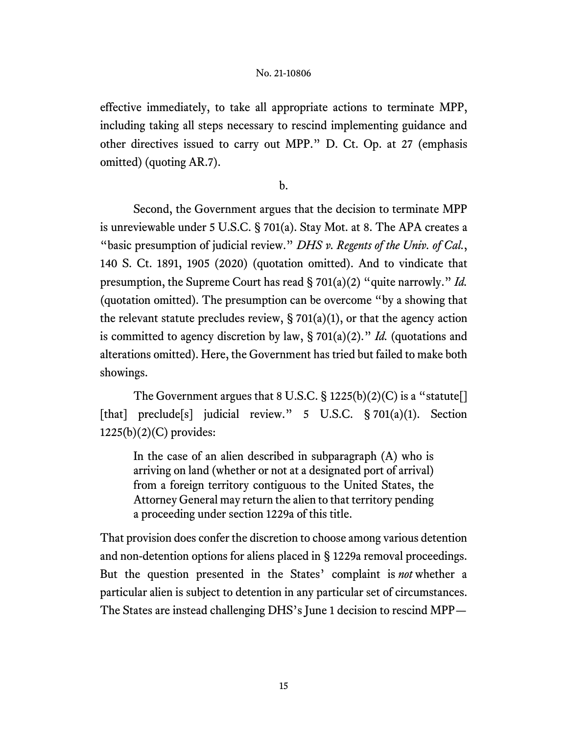effective immediately, to take all appropriate actions to terminate MPP, including taking all steps necessary to rescind implementing guidance and other directives issued to carry out MPP." D. Ct. Op. at 27 (emphasis omitted) (quoting AR.7).

b.

Second, the Government argues that the decision to terminate MPP is unreviewable under 5 U.S.C. § 701(a). Stay Mot. at 8. The APA creates a "basic presumption of judicial review." *DHS v. Regents of the Univ. of Cal.*, 140 S. Ct. 1891, 1905 (2020) (quotation omitted). And to vindicate that presumption, the Supreme Court has read § 701(a)(2) "quite narrowly." *Id.* (quotation omitted). The presumption can be overcome "by a showing that the relevant statute precludes review,  $\S 701(a)(1)$ , or that the agency action is committed to agency discretion by law, § 701(a)(2)." *Id.* (quotations and alterations omitted). Here, the Government has tried but failed to make both showings.

The Government argues that 8 U.S.C.  $\S 1225(b)(2)(C)$  is a "statute[] [that] preclude<sup>[s]</sup> judicial review." 5 U.S.C. § 701(a)(1). Section  $1225(b)(2)(C)$  provides:

In the case of an alien described in subparagraph (A) who is arriving on land (whether or not at a designated port of arrival) from a foreign territory contiguous to the United States, the Attorney General may return the alien to that territory pending a proceeding under section 1229a of this title.

That provision does confer the discretion to choose among various detention and non-detention options for aliens placed in § 1229a removal proceedings. But the question presented in the States' complaint is *not* whether a particular alien is subject to detention in any particular set of circumstances. The States are instead challenging DHS's June 1 decision to rescind MPP—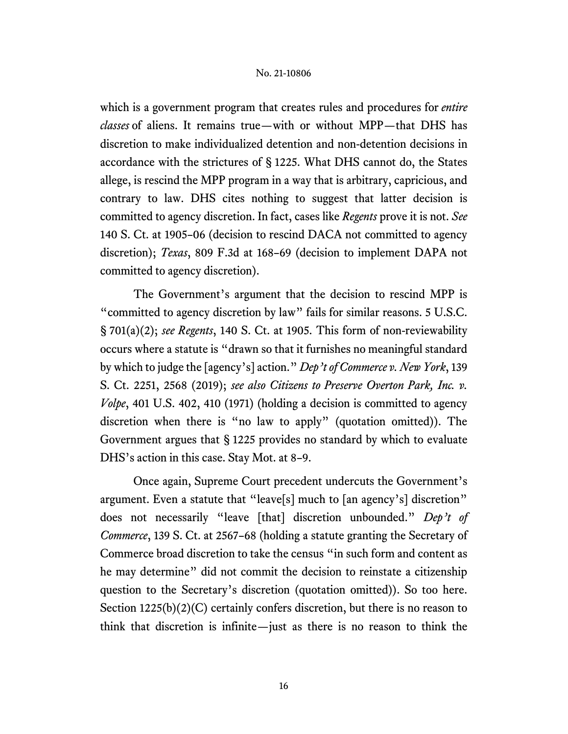which is a government program that creates rules and procedures for *entire classes* of aliens. It remains true—with or without MPP—that DHS has discretion to make individualized detention and non-detention decisions in accordance with the strictures of § 1225. What DHS cannot do, the States allege, is rescind the MPP program in a way that is arbitrary, capricious, and contrary to law. DHS cites nothing to suggest that latter decision is committed to agency discretion. In fact, cases like *Regents* prove it is not. *See* 140 S. Ct. at 1905–06 (decision to rescind DACA not committed to agency discretion); *Texas*, 809 F.3d at 168–69 (decision to implement DAPA not committed to agency discretion).

The Government's argument that the decision to rescind MPP is "committed to agency discretion by law" fails for similar reasons. 5 U.S.C. § 701(a)(2); *see Regents*, 140 S. Ct. at 1905. This form of non-reviewability occurs where a statute is "drawn so that it furnishes no meaningful standard by which to judge the [agency's] action." *Dep't of Commerce v. New York*, 139 S. Ct. 2251, 2568 (2019); *see also Citizens to Preserve Overton Park, Inc. v. Volpe*, 401 U.S. 402, 410 (1971) (holding a decision is committed to agency discretion when there is "no law to apply" (quotation omitted)). The Government argues that § 1225 provides no standard by which to evaluate DHS's action in this case. Stay Mot. at 8–9.

Once again, Supreme Court precedent undercuts the Government's argument. Even a statute that "leave[s] much to [an agency's] discretion" does not necessarily "leave [that] discretion unbounded." *Dep't of Commerce*, 139 S. Ct. at 2567–68 (holding a statute granting the Secretary of Commerce broad discretion to take the census "in such form and content as he may determine" did not commit the decision to reinstate a citizenship question to the Secretary's discretion (quotation omitted)). So too here. Section 1225(b)(2)(C) certainly confers discretion, but there is no reason to think that discretion is infinite—just as there is no reason to think the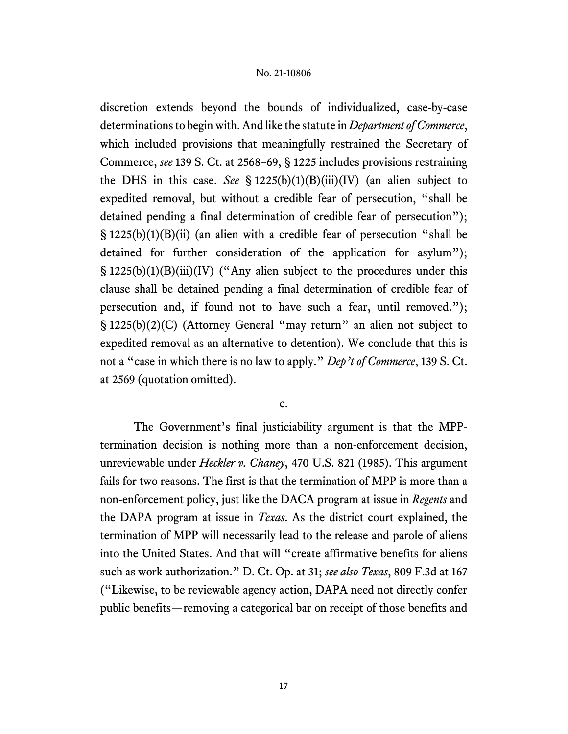discretion extends beyond the bounds of individualized, case-by-case determinations to begin with. And like the statute in *Department of Commerce*, which included provisions that meaningfully restrained the Secretary of Commerce, *see* 139 S. Ct. at 2568–69, § 1225 includes provisions restraining the DHS in this case. *See* § 1225(b)(1)(B)(iii)(IV) (an alien subject to expedited removal, but without a credible fear of persecution, "shall be detained pending a final determination of credible fear of persecution"); § 1225(b)(1)(B)(ii) (an alien with a credible fear of persecution "shall be detained for further consideration of the application for asylum"); § 1225(b)(1)(B)(iii)(IV) ("Any alien subject to the procedures under this clause shall be detained pending a final determination of credible fear of persecution and, if found not to have such a fear, until removed."); § 1225(b)(2)(C) (Attorney General "may return" an alien not subject to expedited removal as an alternative to detention). We conclude that this is not a "case in which there is no law to apply." *Dep't of Commerce*, 139 S. Ct. at 2569 (quotation omitted).

c.

The Government's final justiciability argument is that the MPPtermination decision is nothing more than a non-enforcement decision, unreviewable under *Heckler v. Chaney*, 470 U.S. 821 (1985). This argument fails for two reasons. The first is that the termination of MPP is more than a non-enforcement policy, just like the DACA program at issue in *Regents* and the DAPA program at issue in *Texas*. As the district court explained, the termination of MPP will necessarily lead to the release and parole of aliens into the United States. And that will "create affirmative benefits for aliens such as work authorization." D. Ct. Op. at 31; *see also Texas*, 809 F.3d at 167 ("Likewise, to be reviewable agency action, DAPA need not directly confer public benefits—removing a categorical bar on receipt of those benefits and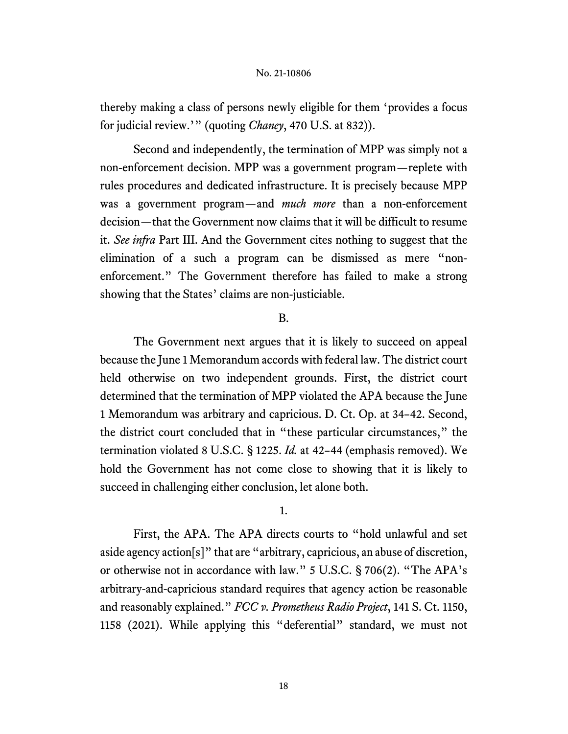thereby making a class of persons newly eligible for them 'provides a focus for judicial review.'" (quoting *Chaney*, 470 U.S. at 832)).

Second and independently, the termination of MPP was simply not a non-enforcement decision. MPP was a government program—replete with rules procedures and dedicated infrastructure. It is precisely because MPP was a government program—and *much more* than a non-enforcement decision—that the Government now claims that it will be difficult to resume it. *See infra* Part III. And the Government cites nothing to suggest that the elimination of a such a program can be dismissed as mere "nonenforcement." The Government therefore has failed to make a strong showing that the States' claims are non-justiciable.

# B.

The Government next argues that it is likely to succeed on appeal because the June 1 Memorandum accords with federal law. The district court held otherwise on two independent grounds. First, the district court determined that the termination of MPP violated the APA because the June 1 Memorandum was arbitrary and capricious. D. Ct. Op. at 34–42. Second, the district court concluded that in "these particular circumstances," the termination violated 8 U.S.C. § 1225. *Id.* at 42–44 (emphasis removed). We hold the Government has not come close to showing that it is likely to succeed in challenging either conclusion, let alone both.

# 1.

First, the APA. The APA directs courts to "hold unlawful and set aside agency action[s]" that are "arbitrary, capricious, an abuse of discretion, or otherwise not in accordance with law." 5 U.S.C. § 706(2). "The APA's arbitrary-and-capricious standard requires that agency action be reasonable and reasonably explained." *FCC v. Prometheus Radio Project*, 141 S. Ct. 1150, 1158 (2021). While applying this "deferential" standard, we must not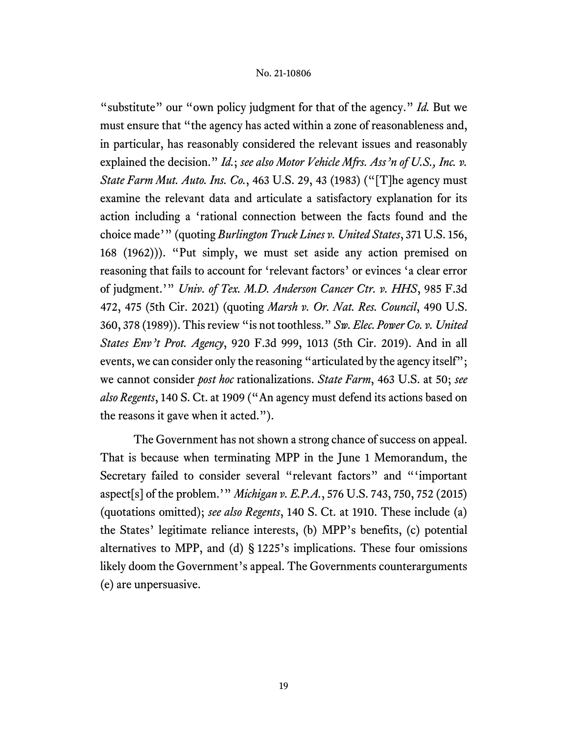"substitute" our "own policy judgment for that of the agency." *Id*. But we must ensure that "the agency has acted within a zone of reasonableness and, in particular, has reasonably considered the relevant issues and reasonably explained the decision." *Id.*; *see also Motor Vehicle Mfrs. Ass'n of U.S., Inc. v. State Farm Mut. Auto. Ins. Co.*, 463 U.S. 29, 43 (1983) ("[T]he agency must examine the relevant data and articulate a satisfactory explanation for its action including a 'rational connection between the facts found and the choice made'" (quoting *Burlington Truck Lines v. United States*, 371 U.S. 156, 168 (1962))). "Put simply, we must set aside any action premised on reasoning that fails to account for 'relevant factors' or evinces 'a clear error of judgment.'" *Univ. of Tex. M.D. Anderson Cancer Ctr. v. HHS*, 985 F.3d 472, 475 (5th Cir. 2021) (quoting *Marsh v. Or. Nat. Res. Council*, 490 U.S. 360, 378 (1989)). This review "is not toothless." *Sw. Elec. Power Co. v. United States Env't Prot. Agency*, 920 F.3d 999, 1013 (5th Cir. 2019). And in all events, we can consider only the reasoning "articulated by the agency itself"; we cannot consider *post hoc* rationalizations. *State Farm*, 463 U.S. at 50; *see also Regents*, 140 S. Ct. at 1909 ("An agency must defend its actions based on the reasons it gave when it acted.").

The Government has not shown a strong chance of success on appeal. That is because when terminating MPP in the June 1 Memorandum, the Secretary failed to consider several "relevant factors" and "'important aspect[s] of the problem.'" *Michigan v. E.P.A.*, 576 U.S. 743, 750, 752 (2015) (quotations omitted); *see also Regents*, 140 S. Ct. at 1910. These include (a) the States' legitimate reliance interests, (b) MPP's benefits, (c) potential alternatives to MPP, and (d) § 1225's implications. These four omissions likely doom the Government's appeal. The Governments counterarguments (e) are unpersuasive.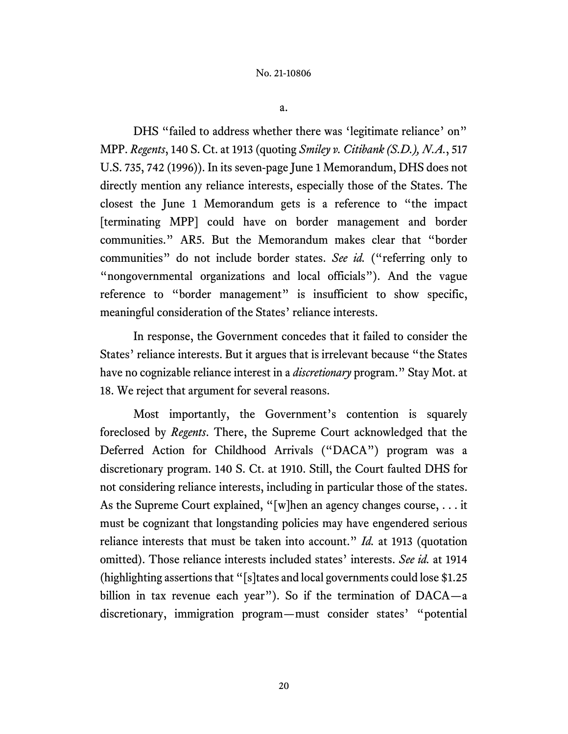a.

DHS "failed to address whether there was 'legitimate reliance' on" MPP. *Regents*, 140 S. Ct. at 1913 (quoting *Smiley v. Citibank (S.D.), N.A.*, 517 U.S. 735, 742 (1996)). In its seven-page June 1 Memorandum, DHS does not directly mention any reliance interests, especially those of the States. The closest the June 1 Memorandum gets is a reference to "the impact [terminating MPP] could have on border management and border communities." AR5. But the Memorandum makes clear that "border communities" do not include border states. *See id.* ("referring only to "nongovernmental organizations and local officials"). And the vague reference to "border management" is insufficient to show specific, meaningful consideration of the States' reliance interests.

In response, the Government concedes that it failed to consider the States' reliance interests. But it argues that is irrelevant because "the States have no cognizable reliance interest in a *discretionary* program." Stay Mot. at 18. We reject that argument for several reasons.

Most importantly, the Government's contention is squarely foreclosed by *Regents*. There, the Supreme Court acknowledged that the Deferred Action for Childhood Arrivals ("DACA") program was a discretionary program. 140 S. Ct. at 1910. Still, the Court faulted DHS for not considering reliance interests, including in particular those of the states. As the Supreme Court explained, "[w]hen an agency changes course, . . . it must be cognizant that longstanding policies may have engendered serious reliance interests that must be taken into account." *Id.* at 1913 (quotation omitted). Those reliance interests included states' interests. *See id.* at 1914 (highlighting assertions that "[s]tates and local governments could lose \$1.25 billion in tax revenue each year"). So if the termination of DACA—a discretionary, immigration program—must consider states' "potential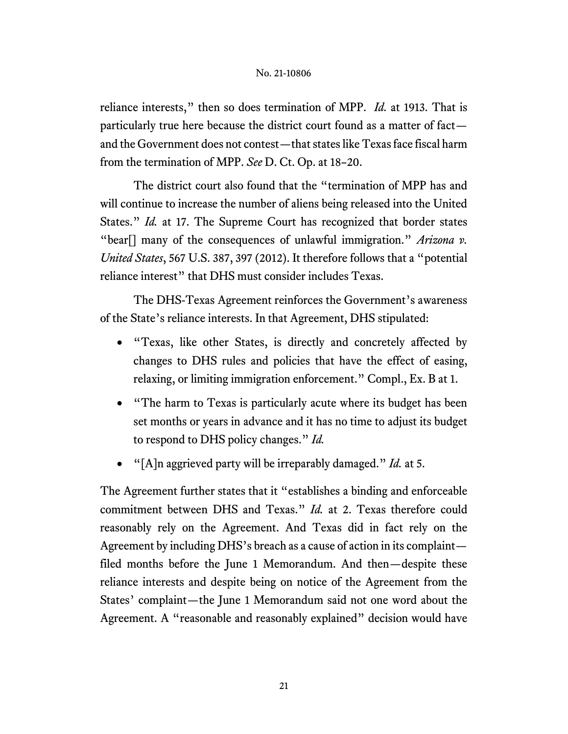reliance interests," then so does termination of MPP. *Id.* at 1913. That is particularly true here because the district court found as a matter of fact and the Government does not contest—that states like Texas face fiscal harm from the termination of MPP. *See* D. Ct. Op. at 18–20.

The district court also found that the "termination of MPP has and will continue to increase the number of aliens being released into the United States." *Id.* at 17. The Supreme Court has recognized that border states "bear[] many of the consequences of unlawful immigration." *Arizona v. United States*, 567 U.S. 387, 397 (2012). It therefore follows that a "potential reliance interest" that DHS must consider includes Texas.

The DHS-Texas Agreement reinforces the Government's awareness of the State's reliance interests. In that Agreement, DHS stipulated:

- "Texas, like other States, is directly and concretely affected by changes to DHS rules and policies that have the effect of easing, relaxing, or limiting immigration enforcement." Compl., Ex. B at 1.
- "The harm to Texas is particularly acute where its budget has been set months or years in advance and it has no time to adjust its budget to respond to DHS policy changes." *Id.*
- "[A]n aggrieved party will be irreparably damaged." *Id.* at 5.

The Agreement further states that it "establishes a binding and enforceable commitment between DHS and Texas." *Id.* at 2. Texas therefore could reasonably rely on the Agreement. And Texas did in fact rely on the Agreement by including DHS's breach as a cause of action in its complaint filed months before the June 1 Memorandum. And then—despite these reliance interests and despite being on notice of the Agreement from the States' complaint—the June 1 Memorandum said not one word about the Agreement. A "reasonable and reasonably explained" decision would have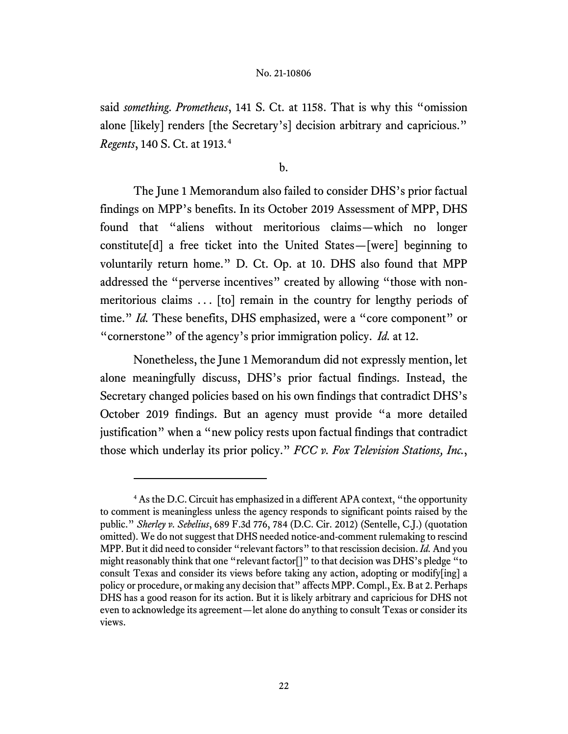said *something*. *Prometheus*, 141 S. Ct. at 1158. That is why this "omission alone [likely] renders [the Secretary's] decision arbitrary and capricious." *Regents*, 140 S. Ct. at 1913.[4](#page-21-0)

b.

The June 1 Memorandum also failed to consider DHS's prior factual findings on MPP's benefits. In its October 2019 Assessment of MPP, DHS found that "aliens without meritorious claims—which no longer constitute[d] a free ticket into the United States—[were] beginning to voluntarily return home." D. Ct. Op. at 10. DHS also found that MPP addressed the "perverse incentives" created by allowing "those with nonmeritorious claims . . . [to] remain in the country for lengthy periods of time." *Id.* These benefits, DHS emphasized, were a "core component" or "cornerstone" of the agency's prior immigration policy. *Id.* at 12.

Nonetheless, the June 1 Memorandum did not expressly mention, let alone meaningfully discuss, DHS's prior factual findings. Instead, the Secretary changed policies based on his own findings that contradict DHS's October 2019 findings. But an agency must provide "a more detailed justification" when a "new policy rests upon factual findings that contradict those which underlay its prior policy." *FCC v. Fox Television Stations, Inc.*,

<span id="page-21-0"></span><sup>4</sup> As the D.C. Circuit has emphasized in a different APA context, "the opportunity to comment is meaningless unless the agency responds to significant points raised by the public." *Sherley v. Sebelius*, 689 F.3d 776, 784 (D.C. Cir. 2012) (Sentelle, C.J.) (quotation omitted). We do not suggest that DHS needed notice-and-comment rulemaking to rescind MPP. But it did need to consider "relevant factors" to that rescission decision. *Id.*And you might reasonably think that one "relevant factor[]" to that decision was DHS's pledge "to consult Texas and consider its views before taking any action, adopting or modify[ing] a policy or procedure, or making any decision that" affects MPP. Compl., Ex. B at 2. Perhaps DHS has a good reason for its action. But it is likely arbitrary and capricious for DHS not even to acknowledge its agreement—let alone do anything to consult Texas or consider its views.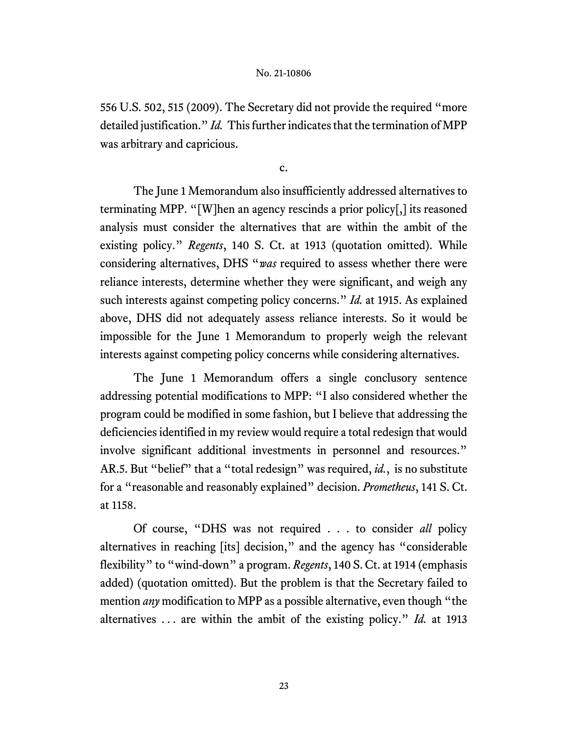556 U.S. 502, 515 (2009). The Secretary did not provide the required "more detailed justification." *Id.* This further indicates that the termination of MPP was arbitrary and capricious.

c.

The June 1 Memorandum also insufficiently addressed alternatives to terminating MPP. "[W]hen an agency rescinds a prior policy[,] its reasoned analysis must consider the alternatives that are within the ambit of the existing policy." *Regents*, 140 S. Ct. at 1913 (quotation omitted). While considering alternatives, DHS "*was* required to assess whether there were reliance interests, determine whether they were significant, and weigh any such interests against competing policy concerns." *Id.* at 1915. As explained above, DHS did not adequately assess reliance interests. So it would be impossible for the June 1 Memorandum to properly weigh the relevant interests against competing policy concerns while considering alternatives.

The June 1 Memorandum offers a single conclusory sentence addressing potential modifications to MPP: "I also considered whether the program could be modified in some fashion, but I believe that addressing the deficiencies identified in my review would require a total redesign that would involve significant additional investments in personnel and resources." AR.5. But "belief" that a "total redesign" was required, *id.*, is no substitute for a "reasonable and reasonably explained" decision. *Prometheus*, 141 S. Ct. at 1158.

Of course, "DHS was not required . . . to consider *all* policy alternatives in reaching [its] decision," and the agency has "considerable flexibility" to "wind-down" a program. *Regents*, 140 S. Ct. at 1914 (emphasis added) (quotation omitted). But the problem is that the Secretary failed to mention *any* modification to MPP as a possible alternative, even though "the alternatives . . . are within the ambit of the existing policy." *Id.* at 1913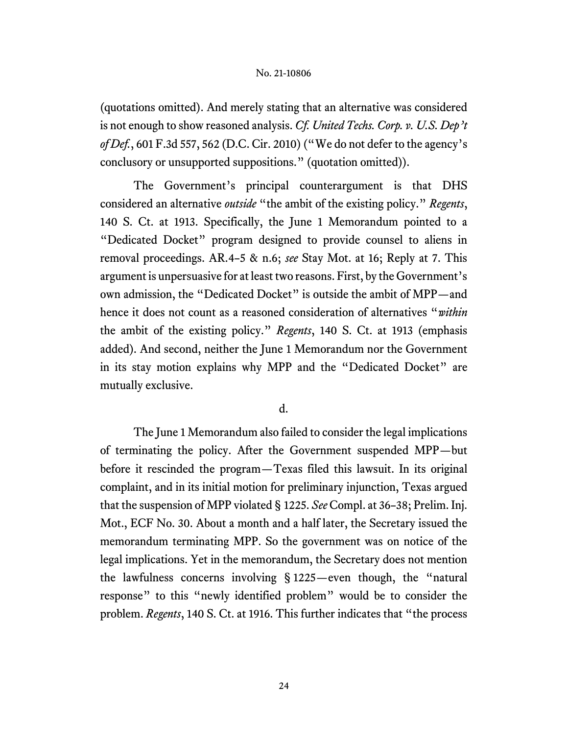(quotations omitted). And merely stating that an alternative was considered is not enough to show reasoned analysis. *Cf. United Techs. Corp. v. U.S. Dep't of Def.*, 601 F.3d 557, 562 (D.C. Cir. 2010) ("We do not defer to the agency's conclusory or unsupported suppositions." (quotation omitted)).

The Government's principal counterargument is that DHS considered an alternative *outside* "the ambit of the existing policy." *Regents*, 140 S. Ct. at 1913. Specifically, the June 1 Memorandum pointed to a "Dedicated Docket" program designed to provide counsel to aliens in removal proceedings. AR.4–5 & n.6; *see* Stay Mot. at 16; Reply at 7. This argument is unpersuasive for at least two reasons. First, by the Government's own admission, the "Dedicated Docket" is outside the ambit of MPP—and hence it does not count as a reasoned consideration of alternatives "*within* the ambit of the existing policy." *Regents*, 140 S. Ct. at 1913 (emphasis added). And second, neither the June 1 Memorandum nor the Government in its stay motion explains why MPP and the "Dedicated Docket" are mutually exclusive.

d.

The June 1 Memorandum also failed to consider the legal implications of terminating the policy. After the Government suspended MPP—but before it rescinded the program—Texas filed this lawsuit. In its original complaint, and in its initial motion for preliminary injunction, Texas argued that the suspension of MPP violated § 1225. *See* Compl. at 36–38; Prelim. Inj. Mot., ECF No. 30. About a month and a half later, the Secretary issued the memorandum terminating MPP. So the government was on notice of the legal implications. Yet in the memorandum, the Secretary does not mention the lawfulness concerns involving § 1225—even though, the "natural response" to this "newly identified problem" would be to consider the problem. *Regents*, 140 S. Ct. at 1916. This further indicates that "the process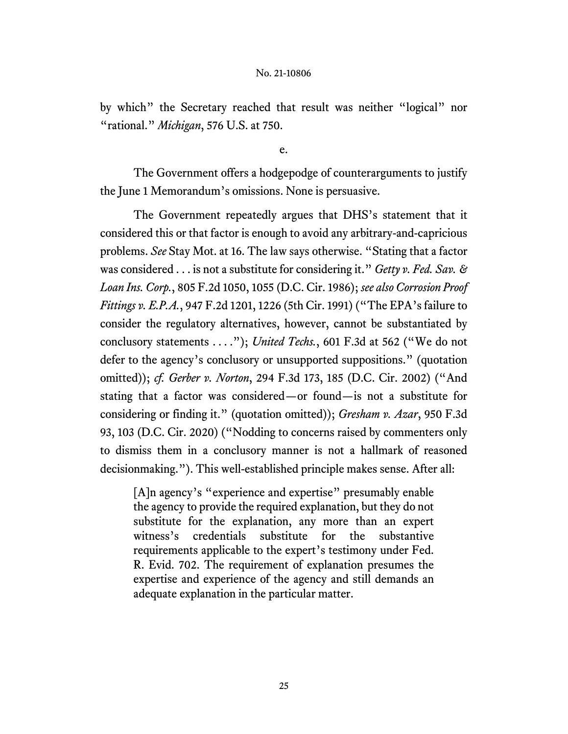by which" the Secretary reached that result was neither "logical" nor "rational." *Michigan*, 576 U.S. at 750.

e.

The Government offers a hodgepodge of counterarguments to justify the June 1 Memorandum's omissions. None is persuasive.

The Government repeatedly argues that DHS's statement that it considered this or that factor is enough to avoid any arbitrary-and-capricious problems. *See* Stay Mot. at 16. The law says otherwise. "Stating that a factor was considered . . . is not a substitute for considering it." *Getty v. Fed. Sav. & Loan Ins. Corp.*, 805 F.2d 1050, 1055 (D.C. Cir. 1986); *see also Corrosion Proof Fittings v. E.P.A.*, 947 F.2d 1201, 1226 (5th Cir. 1991) ("The EPA's failure to consider the regulatory alternatives, however, cannot be substantiated by conclusory statements . . . ."); *United Techs.*, 601 F.3d at 562 ("We do not defer to the agency's conclusory or unsupported suppositions." (quotation omitted)); *cf. Gerber v. Norton*, 294 F.3d 173, 185 (D.C. Cir. 2002) ("And stating that a factor was considered—or found—is not a substitute for considering or finding it." (quotation omitted)); *Gresham v. Azar*, 950 F.3d 93, 103 (D.C. Cir. 2020) ("Nodding to concerns raised by commenters only to dismiss them in a conclusory manner is not a hallmark of reasoned decisionmaking."). This well-established principle makes sense. After all:

[A]n agency's "experience and expertise" presumably enable the agency to provide the required explanation, but they do not substitute for the explanation, any more than an expert witness's credentials substitute for the substantive requirements applicable to the expert's testimony under Fed. R. Evid. 702. The requirement of explanation presumes the expertise and experience of the agency and still demands an adequate explanation in the particular matter.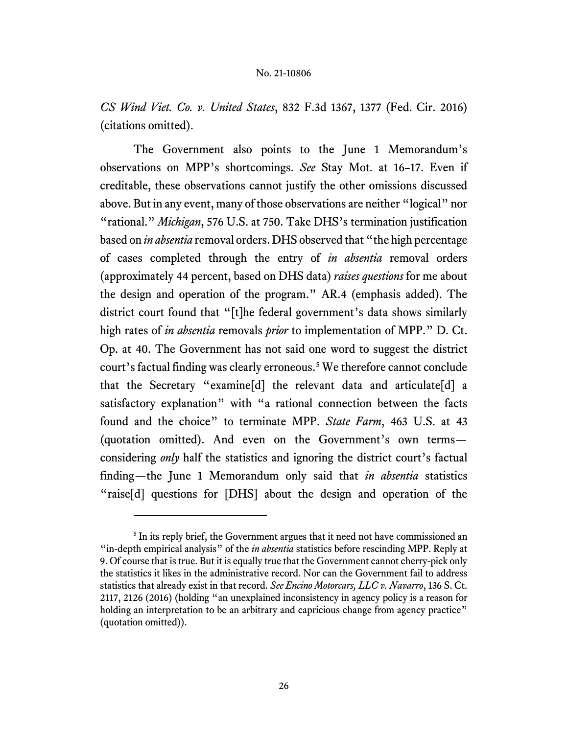*CS Wind Viet. Co. v. United States*, 832 F.3d 1367, 1377 (Fed. Cir. 2016) (citations omitted).

The Government also points to the June 1 Memorandum's observations on MPP's shortcomings. *See* Stay Mot. at 16–17. Even if creditable, these observations cannot justify the other omissions discussed above. But in any event, many of those observations are neither "logical" nor "rational." *Michigan*, 576 U.S. at 750. Take DHS's termination justification based on *in absentia* removal orders. DHS observed that "the high percentage of cases completed through the entry of *in absentia* removal orders (approximately 44 percent, based on DHS data) *raises questions* for me about the design and operation of the program." AR.4 (emphasis added). The district court found that "[t]he federal government's data shows similarly high rates of *in absentia* removals *prior* to implementation of MPP." D. Ct. Op. at 40. The Government has not said one word to suggest the district court's factual finding was clearly erroneous. [5](#page-25-0) We therefore cannot conclude that the Secretary "examine[d] the relevant data and articulate[d] a satisfactory explanation" with "a rational connection between the facts found and the choice" to terminate MPP. *State Farm*, 463 U.S. at 43 (quotation omitted). And even on the Government's own terms considering *only* half the statistics and ignoring the district court's factual finding—the June 1 Memorandum only said that *in absentia* statistics "raise[d] questions for [DHS] about the design and operation of the

<span id="page-25-0"></span><sup>&</sup>lt;sup>5</sup> In its reply brief, the Government argues that it need not have commissioned an "in-depth empirical analysis" of the *in absentia* statistics before rescinding MPP. Reply at 9. Of course that is true. But it is equally true that the Government cannot cherry-pick only the statistics it likes in the administrative record. Nor can the Government fail to address statistics that already exist in that record. *See Encino Motorcars, LLC v. Navarro*, 136 S. Ct. 2117, 2126 (2016) (holding "an unexplained inconsistency in agency policy is a reason for holding an interpretation to be an arbitrary and capricious change from agency practice" (quotation omitted)).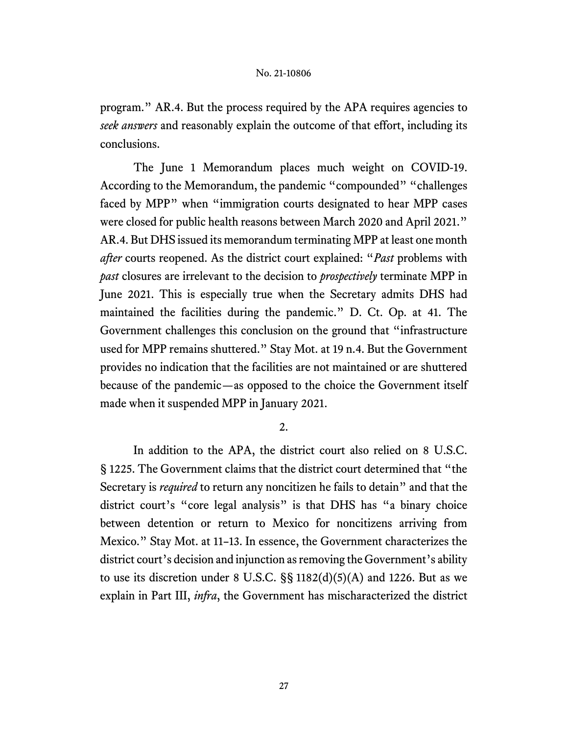program." AR.4. But the process required by the APA requires agencies to *seek answers* and reasonably explain the outcome of that effort, including its conclusions.

The June 1 Memorandum places much weight on COVID-19. According to the Memorandum, the pandemic "compounded" "challenges faced by MPP" when "immigration courts designated to hear MPP cases were closed for public health reasons between March 2020 and April 2021." AR.4. But DHS issued its memorandum terminating MPP at least one month *after* courts reopened. As the district court explained: "*Past* problems with *past* closures are irrelevant to the decision to *prospectively* terminate MPP in June 2021. This is especially true when the Secretary admits DHS had maintained the facilities during the pandemic." D. Ct. Op. at 41. The Government challenges this conclusion on the ground that "infrastructure used for MPP remains shuttered." Stay Mot. at 19 n.4. But the Government provides no indication that the facilities are not maintained or are shuttered because of the pandemic—as opposed to the choice the Government itself made when it suspended MPP in January 2021.

2.

In addition to the APA, the district court also relied on 8 U.S.C. § 1225. The Government claims that the district court determined that "the Secretary is *required* to return any noncitizen he fails to detain" and that the district court's "core legal analysis" is that DHS has "a binary choice between detention or return to Mexico for noncitizens arriving from Mexico." Stay Mot. at 11–13. In essence, the Government characterizes the district court's decision and injunction as removing the Government's ability to use its discretion under 8 U.S.C.  $\S$ § 1182(d)(5)(A) and 1226. But as we explain in Part III, *infra*, the Government has mischaracterized the district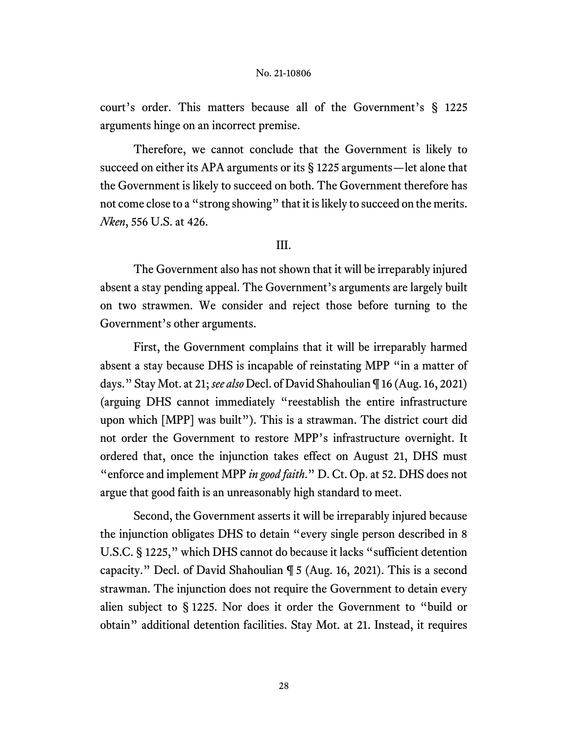court's order. This matters because all of the Government's § 1225 arguments hinge on an incorrect premise.

Therefore, we cannot conclude that the Government is likely to succeed on either its APA arguments or its § 1225 arguments—let alone that the Government is likely to succeed on both. The Government therefore has not come close to a "strong showing" that it is likely to succeed on the merits. *Nken*, 556 U.S. at 426.

# III.

The Government also has not shown that it will be irreparably injured absent a stay pending appeal. The Government's arguments are largely built on two strawmen. We consider and reject those before turning to the Government's other arguments.

First, the Government complains that it will be irreparably harmed absent a stay because DHS is incapable of reinstating MPP "in a matter of days." Stay Mot. at 21; *see also* Decl. of David Shahoulian ¶ 16 (Aug. 16, 2021) (arguing DHS cannot immediately "reestablish the entire infrastructure upon which [MPP] was built"). This is a strawman. The district court did not order the Government to restore MPP's infrastructure overnight. It ordered that, once the injunction takes effect on August 21, DHS must "enforce and implement MPP *in good faith*." D. Ct. Op. at 52. DHS does not argue that good faith is an unreasonably high standard to meet.

Second, the Government asserts it will be irreparably injured because the injunction obligates DHS to detain "every single person described in 8 U.S.C. § 1225," which DHS cannot do because it lacks "sufficient detention capacity." Decl. of David Shahoulian ¶ 5 (Aug. 16, 2021). This is a second strawman. The injunction does not require the Government to detain every alien subject to § 1225. Nor does it order the Government to "build or obtain" additional detention facilities. Stay Mot. at 21. Instead, it requires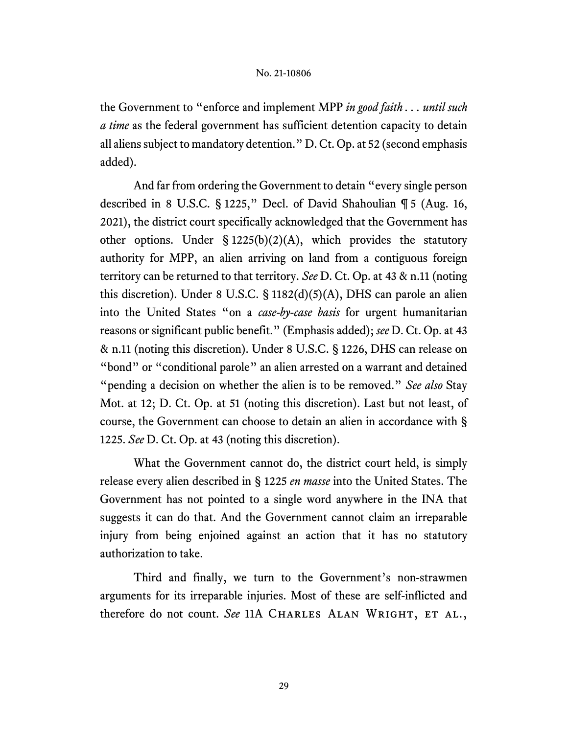the Government to "enforce and implement MPP *in good faith . . . until such a time* as the federal government has sufficient detention capacity to detain all aliens subject to mandatory detention." D. Ct. Op. at 52 (second emphasis added).

And far from ordering the Government to detain "every single person described in 8 U.S.C. § 1225," Decl. of David Shahoulian ¶ 5 (Aug. 16, 2021), the district court specifically acknowledged that the Government has other options. Under  $\S 1225(b)(2)(A)$ , which provides the statutory authority for MPP, an alien arriving on land from a contiguous foreign territory can be returned to that territory. *See* D. Ct. Op. at 43 & n.11 (noting this discretion). Under 8 U.S.C. § 1182(d)(5)(A), DHS can parole an alien into the United States "on a *case-by-case basis* for urgent humanitarian reasons or significant public benefit." (Emphasis added); *see* D. Ct. Op. at 43 & n.11 (noting this discretion). Under 8 U.S.C. § 1226, DHS can release on "bond" or "conditional parole" an alien arrested on a warrant and detained "pending a decision on whether the alien is to be removed." *See also* Stay Mot. at 12; D. Ct. Op. at 51 (noting this discretion). Last but not least, of course, the Government can choose to detain an alien in accordance with § 1225. *See* D. Ct. Op. at 43 (noting this discretion).

What the Government cannot do, the district court held, is simply release every alien described in § 1225 *en masse* into the United States. The Government has not pointed to a single word anywhere in the INA that suggests it can do that. And the Government cannot claim an irreparable injury from being enjoined against an action that it has no statutory authorization to take.

Third and finally, we turn to the Government's non-strawmen arguments for its irreparable injuries. Most of these are self-inflicted and therefore do not count. *See* 11A CHARLES ALAN WRIGHT, ET AL.,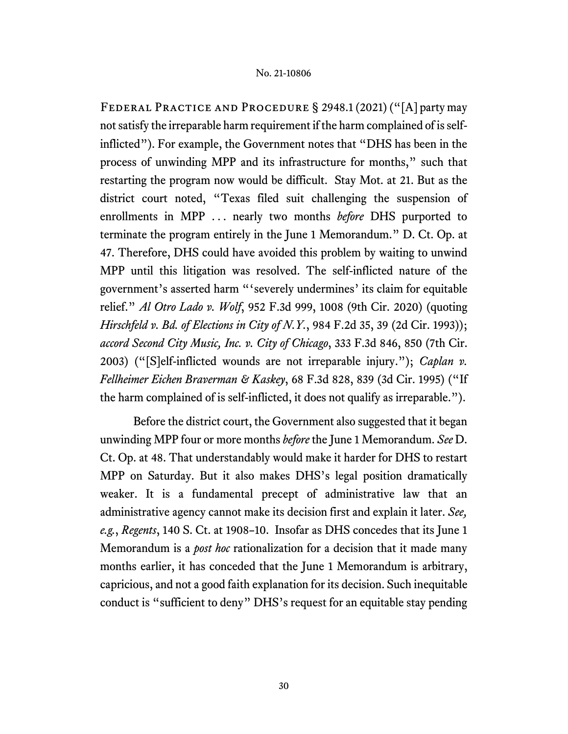Federal Practice and Procedure § 2948.1 (2021) ("[A] party may not satisfy the irreparable harm requirement if the harm complained of is selfinflicted"). For example, the Government notes that "DHS has been in the process of unwinding MPP and its infrastructure for months," such that restarting the program now would be difficult. Stay Mot. at 21. But as the district court noted, "Texas filed suit challenging the suspension of enrollments in MPP ... nearly two months *before* DHS purported to terminate the program entirely in the June 1 Memorandum." D. Ct. Op. at 47. Therefore, DHS could have avoided this problem by waiting to unwind MPP until this litigation was resolved. The self-inflicted nature of the government's asserted harm "'severely undermines' its claim for equitable relief." *Al Otro Lado v. Wolf*, 952 F.3d 999, 1008 (9th Cir. 2020) (quoting *Hirschfeld v. Bd. of Elections in City of N.Y.*, 984 F.2d 35, 39 (2d Cir. 1993)); *accord Second City Music, Inc. v. City of Chicago*, 333 F.3d 846, 850 (7th Cir. 2003) ("[S]elf-inflicted wounds are not irreparable injury."); *Caplan v. Fellheimer Eichen Braverman & Kaskey*, 68 F.3d 828, 839 (3d Cir. 1995) ("If the harm complained of is self-inflicted, it does not qualify as irreparable.").

Before the district court, the Government also suggested that it began unwinding MPP four or more months *before* the June 1 Memorandum. *See* D. Ct. Op. at 48. That understandably would make it harder for DHS to restart MPP on Saturday. But it also makes DHS's legal position dramatically weaker. It is a fundamental precept of administrative law that an administrative agency cannot make its decision first and explain it later. *See, e.g.*, *Regents*, 140 S. Ct. at 1908–10. Insofar as DHS concedes that its June 1 Memorandum is a *post hoc* rationalization for a decision that it made many months earlier, it has conceded that the June 1 Memorandum is arbitrary, capricious, and not a good faith explanation for its decision. Such inequitable conduct is "sufficient to deny" DHS's request for an equitable stay pending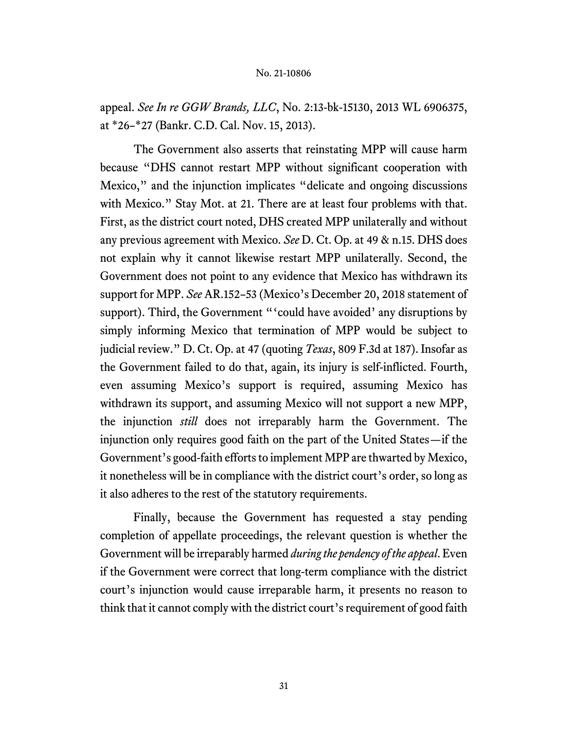appeal. *See In re GGW Brands, LLC*, No. 2:13-bk-15130, 2013 WL 6906375, at \*26–\*27 (Bankr. C.D. Cal. Nov. 15, 2013).

The Government also asserts that reinstating MPP will cause harm because "DHS cannot restart MPP without significant cooperation with Mexico," and the injunction implicates "delicate and ongoing discussions with Mexico." Stay Mot. at 21. There are at least four problems with that. First, as the district court noted, DHS created MPP unilaterally and without any previous agreement with Mexico. *See* D. Ct. Op. at 49 & n.15. DHS does not explain why it cannot likewise restart MPP unilaterally. Second, the Government does not point to any evidence that Mexico has withdrawn its support for MPP. *See* AR.152–53 (Mexico's December 20, 2018 statement of support). Third, the Government "'could have avoided' any disruptions by simply informing Mexico that termination of MPP would be subject to judicial review." D. Ct. Op. at 47 (quoting *Texas*, 809 F.3d at 187). Insofar as the Government failed to do that, again, its injury is self-inflicted. Fourth, even assuming Mexico's support is required, assuming Mexico has withdrawn its support, and assuming Mexico will not support a new MPP, the injunction *still* does not irreparably harm the Government. The injunction only requires good faith on the part of the United States—if the Government's good-faith efforts to implement MPP are thwarted by Mexico, it nonetheless will be in compliance with the district court's order, so long as it also adheres to the rest of the statutory requirements.

Finally, because the Government has requested a stay pending completion of appellate proceedings, the relevant question is whether the Government will be irreparably harmed *during the pendency of the appeal*. Even if the Government were correct that long-term compliance with the district court's injunction would cause irreparable harm, it presents no reason to think that it cannot comply with the district court's requirement of good faith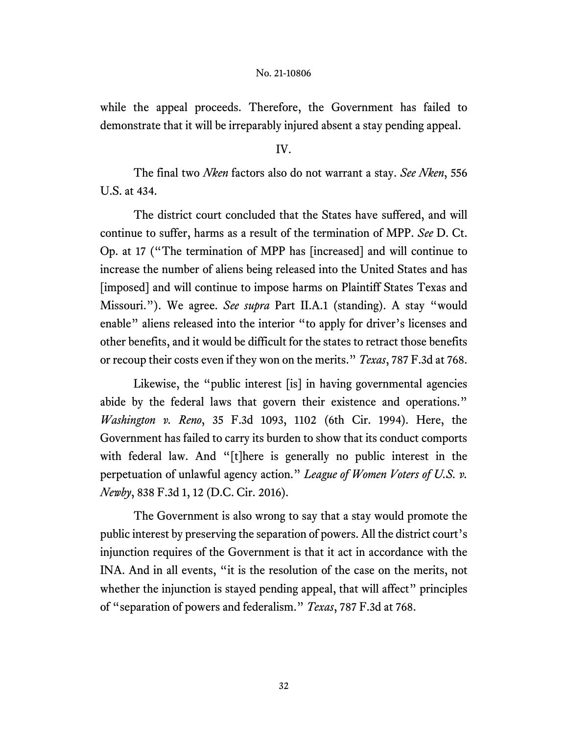while the appeal proceeds. Therefore, the Government has failed to demonstrate that it will be irreparably injured absent a stay pending appeal.

IV.

The final two *Nken* factors also do not warrant a stay. *See Nken*, 556 U.S. at 434.

The district court concluded that the States have suffered, and will continue to suffer, harms as a result of the termination of MPP. *See* D. Ct. Op. at 17 ("The termination of MPP has [increased] and will continue to increase the number of aliens being released into the United States and has [imposed] and will continue to impose harms on Plaintiff States Texas and Missouri."). We agree. *See supra* Part II.A.1 (standing). A stay "would enable" aliens released into the interior "to apply for driver's licenses and other benefits, and it would be difficult for the states to retract those benefits or recoup their costs even if they won on the merits." *Texas*, 787 F.3d at 768.

Likewise, the "public interest [is] in having governmental agencies abide by the federal laws that govern their existence and operations." *Washington v. Reno*, 35 F.3d 1093, 1102 (6th Cir. 1994). Here, the Government has failed to carry its burden to show that its conduct comports with federal law. And "[t]here is generally no public interest in the perpetuation of unlawful agency action." *League of Women Voters of U.S. v. Newby*, 838 F.3d 1, 12 (D.C. Cir. 2016).

The Government is also wrong to say that a stay would promote the public interest by preserving the separation of powers. All the district court's injunction requires of the Government is that it act in accordance with the INA. And in all events, "it is the resolution of the case on the merits, not whether the injunction is stayed pending appeal, that will affect" principles of "separation of powers and federalism." *Texas*, 787 F.3d at 768.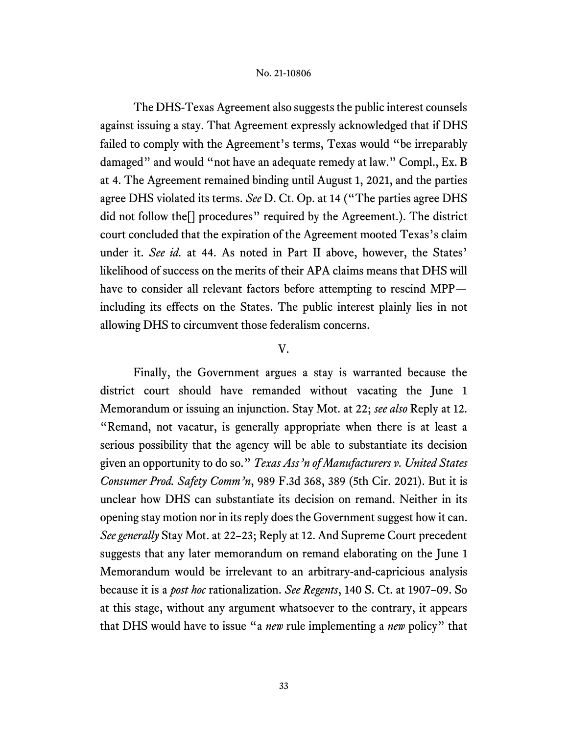The DHS-Texas Agreement also suggests the public interest counsels against issuing a stay. That Agreement expressly acknowledged that if DHS failed to comply with the Agreement's terms, Texas would "be irreparably damaged" and would "not have an adequate remedy at law." Compl., Ex. B at 4. The Agreement remained binding until August 1, 2021, and the parties agree DHS violated its terms. *See* D. Ct. Op. at 14 ("The parties agree DHS did not follow the[] procedures" required by the Agreement.). The district court concluded that the expiration of the Agreement mooted Texas's claim under it. *See id.* at 44. As noted in Part II above, however, the States' likelihood of success on the merits of their APA claims means that DHS will have to consider all relevant factors before attempting to rescind MPP including its effects on the States. The public interest plainly lies in not allowing DHS to circumvent those federalism concerns.

# V.

Finally, the Government argues a stay is warranted because the district court should have remanded without vacating the June 1 Memorandum or issuing an injunction. Stay Mot. at 22; *see also* Reply at 12. "Remand, not vacatur, is generally appropriate when there is at least a serious possibility that the agency will be able to substantiate its decision given an opportunity to do so." *Texas Ass'n of Manufacturers v. United States Consumer Prod. Safety Comm'n*, 989 F.3d 368, 389 (5th Cir. 2021). But it is unclear how DHS can substantiate its decision on remand. Neither in its opening stay motion nor in its reply does the Government suggest how it can. *See generally* Stay Mot. at 22–23; Reply at 12. And Supreme Court precedent suggests that any later memorandum on remand elaborating on the June 1 Memorandum would be irrelevant to an arbitrary-and-capricious analysis because it is a *post hoc* rationalization. *See Regents*, 140 S. Ct. at 1907–09. So at this stage, without any argument whatsoever to the contrary, it appears that DHS would have to issue "a *new* rule implementing a *new* policy" that